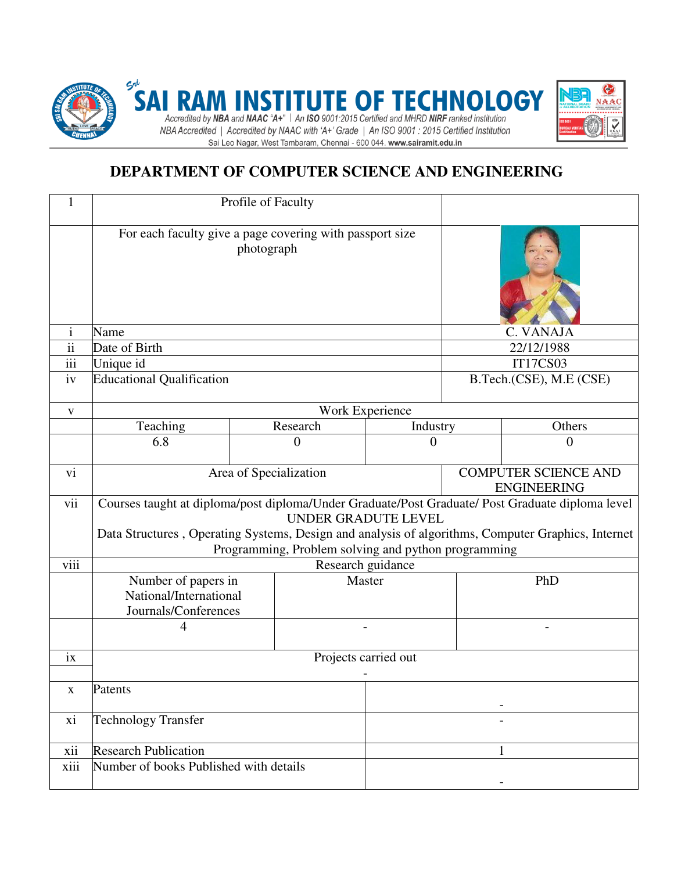

# **DEPARTMENT OF COMPUTER SCIENCE AND ENGINEERING**

|                  | Profile of Faculty                                                                                                                                                                                                                                                                   |  |          |          |                                                   |                         |  |
|------------------|--------------------------------------------------------------------------------------------------------------------------------------------------------------------------------------------------------------------------------------------------------------------------------------|--|----------|----------|---------------------------------------------------|-------------------------|--|
|                  | For each faculty give a page covering with passport size<br>photograph                                                                                                                                                                                                               |  |          |          |                                                   |                         |  |
| $\mathbf{i}$     | Name                                                                                                                                                                                                                                                                                 |  |          |          |                                                   | C. VANAJA               |  |
| $\overline{ii}$  | Date of Birth                                                                                                                                                                                                                                                                        |  |          |          |                                                   | 22/12/1988              |  |
| $\overline{iii}$ | Unique id                                                                                                                                                                                                                                                                            |  |          |          |                                                   | <b>IT17CS03</b>         |  |
| iv               | <b>Educational Qualification</b>                                                                                                                                                                                                                                                     |  |          |          |                                                   | B.Tech.(CSE), M.E (CSE) |  |
| $\mathbf{V}$     | Work Experience                                                                                                                                                                                                                                                                      |  |          |          |                                                   |                         |  |
|                  | Teaching                                                                                                                                                                                                                                                                             |  | Research | Industry |                                                   | Others                  |  |
|                  | 6.8                                                                                                                                                                                                                                                                                  |  | $\theta$ | $\theta$ |                                                   | 0                       |  |
| vi               | Area of Specialization                                                                                                                                                                                                                                                               |  |          |          | <b>COMPUTER SCIENCE AND</b><br><b>ENGINEERING</b> |                         |  |
| vii              | Courses taught at diploma/post diploma/Under Graduate/Post Graduate/ Post Graduate diploma level<br>UNDER GRADUTE LEVEL<br>Data Structures, Operating Systems, Design and analysis of algorithms, Computer Graphics, Internet<br>Programming, Problem solving and python programming |  |          |          |                                                   |                         |  |
| viii             | Research guidance                                                                                                                                                                                                                                                                    |  |          |          |                                                   |                         |  |
|                  | Number of papers in<br>National/International<br>Journals/Conferences                                                                                                                                                                                                                |  | Master   |          |                                                   | PhD                     |  |
|                  |                                                                                                                                                                                                                                                                                      |  |          |          |                                                   |                         |  |
| ix               | Projects carried out                                                                                                                                                                                                                                                                 |  |          |          |                                                   |                         |  |
| $\mathbf X$      | Patents                                                                                                                                                                                                                                                                              |  |          |          |                                                   |                         |  |
| xi               | <b>Technology Transfer</b>                                                                                                                                                                                                                                                           |  |          |          |                                                   |                         |  |
| xii              | <b>Research Publication</b>                                                                                                                                                                                                                                                          |  |          | 1        |                                                   |                         |  |
| xiii             | Number of books Published with details                                                                                                                                                                                                                                               |  |          |          |                                                   |                         |  |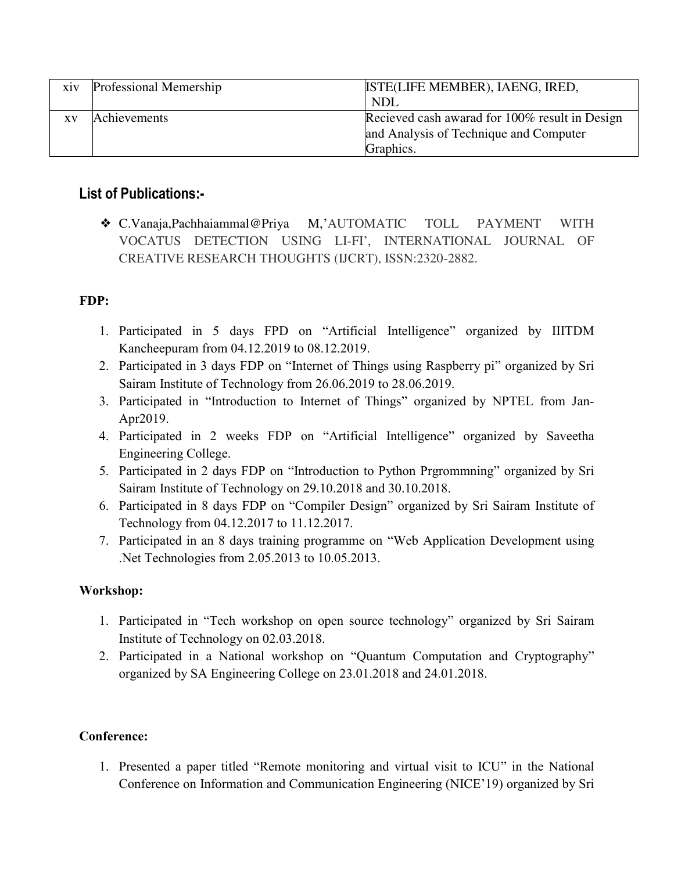| X1V       | Professional Memership | ISTE(LIFE MEMBER), IAENG, IRED,                |
|-----------|------------------------|------------------------------------------------|
|           |                        | <b>NDL</b>                                     |
| <b>XV</b> | Achievements           | Recieved cash awarad for 100% result in Design |
|           |                        | and Analysis of Technique and Computer         |
|           |                        | Graphics.                                      |

## **List of Publications:-**

❖ C.Vanaja,Pachhaiammal@Priya M,'AUTOMATIC TOLL PAYMENT WITH VOCATUS DETECTION USING LI-FI', INTERNATIONAL JOURNAL OF CREATIVE RESEARCH THOUGHTS (IJCRT), ISSN:2320-2882.

## **FDP:**

- 1. Participated in 5 days FPD on "Artificial Intelligence" organized by IIITDM Kancheepuram from 04.12.2019 to 08.12.2019.
- 2. Participated in 3 days FDP on "Internet of Things using Raspberry pi" organized by Sri Sairam Institute of Technology from 26.06.2019 to 28.06.2019.
- 3. Participated in "Introduction to Internet of Things" organized by NPTEL from Jan-Apr2019.
- 4. Participated in 2 weeks FDP on "Artificial Intelligence" organized by Saveetha Engineering College.
- 5. Participated in 2 days FDP on "Introduction to Python Prgrommning" organized by Sri Sairam Institute of Technology on 29.10.2018 and 30.10.2018.
- 6. Participated in 8 days FDP on "Compiler Design" organized by Sri Sairam Institute of Technology from 04.12.2017 to 11.12.2017.
- 7. Participated in an 8 days training programme on "Web Application Development using .Net Technologies from 2.05.2013 to 10.05.2013.

### **Workshop:**

- 1. Participated in "Tech workshop on open source technology" organized by Sri Sairam Institute of Technology on 02.03.2018.
- 2. Participated in a National workshop on "Quantum Computation and Cryptography" organized by SA Engineering College on 23.01.2018 and 24.01.2018.

### **Conference:**

1. Presented a paper titled "Remote monitoring and virtual visit to ICU" in the National Conference on Information and Communication Engineering (NICE'19) organized by Sri